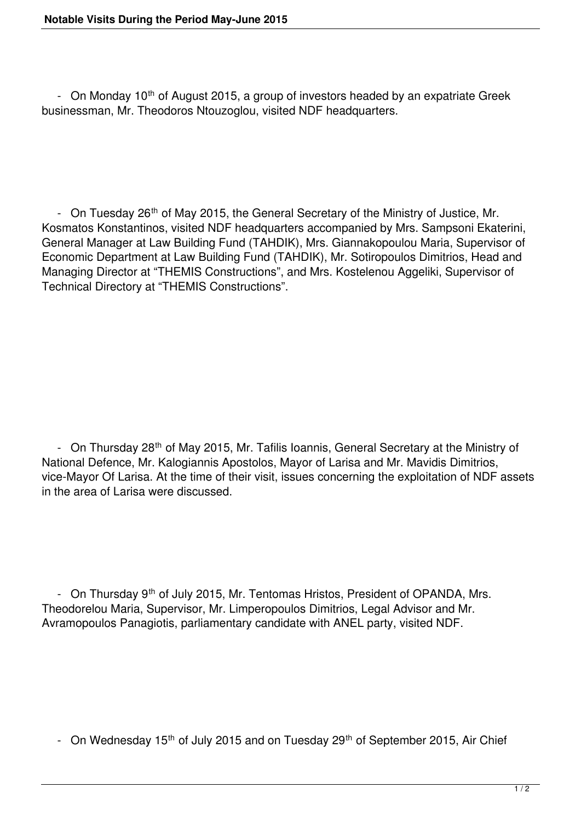- On Monday 10<sup>th</sup> of August 2015, a group of investors headed by an expatriate Greek businessman, Mr. Theodoros Ntouzoglou, visited NDF headquarters.

- On Tuesday 26<sup>th</sup> of May 2015, the General Secretary of the Ministry of Justice, Mr. Kosmatos Konstantinos, visited NDF headquarters accompanied by Mrs. Sampsoni Ekaterini, General Manager at Law Building Fund (TAHDIK), Mrs. Giannakopoulou Maria, Supervisor of Economic Department at Law Building Fund (TAHDIK), Mr. Sotiropoulos Dimitrios, Head and Managing Director at "THEMIS Constructions", and Mrs. Kostelenou Aggeliki, Supervisor of Technical Directory at "THEMIS Constructions".

- On Thursday 28<sup>th</sup> of May 2015, Mr. Tafilis Ioannis, General Secretary at the Ministry of National Defence, Mr. Kalogiannis Apostolos, Mayor of Larisa and Mr. Mavidis Dimitrios, vice-Mayor Of Larisa. At the time of their visit, issues concerning the exploitation of NDF assets in the area of Larisa were discussed.

- On Thursday 9<sup>th</sup> of July 2015, Mr. Tentomas Hristos, President of OPANDA, Mrs. Theodorelou Maria, Supervisor, Mr. Limperopoulos Dimitrios, Legal Advisor and Mr. Avramopoulos Panagiotis, parliamentary candidate with ANEL party, visited NDF.

- On Wednesday 15<sup>th</sup> of July 2015 and on Tuesday 29<sup>th</sup> of September 2015, Air Chief